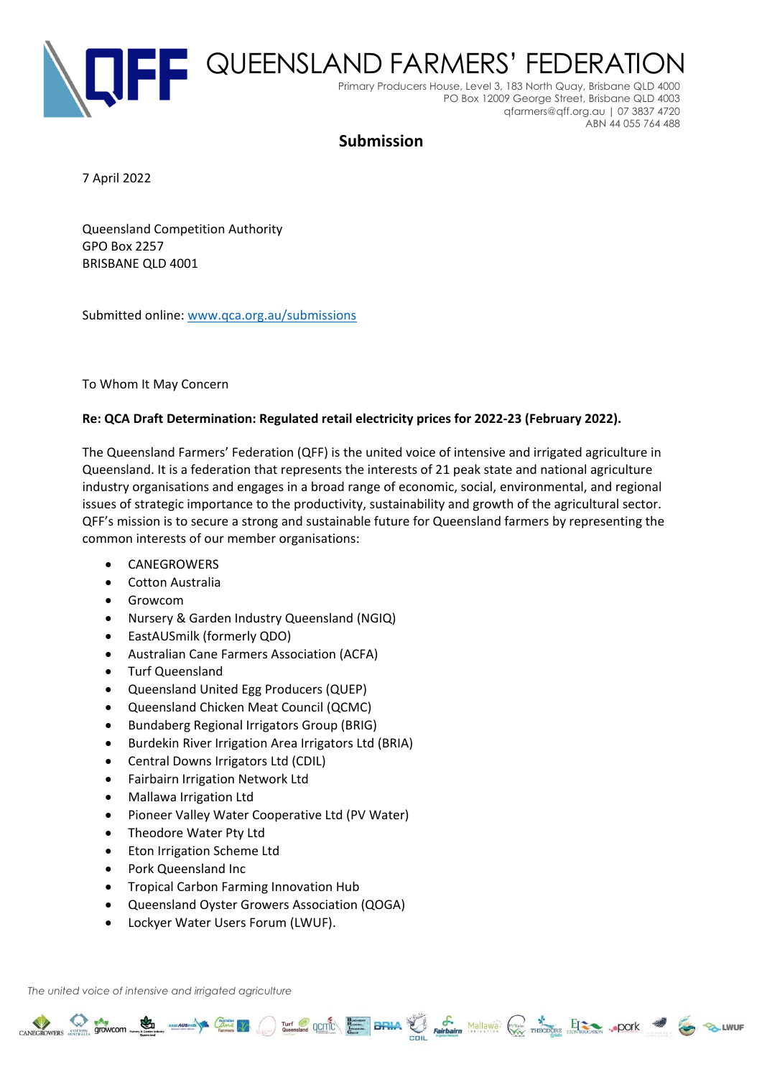

QUEENSLAND FARMERS' FEDERATION Primary Producers House, Level 3, 183 North Quay, Brisbane QLD 4000 PO Box 12009 George Street, Brisbane QLD 4003 qfarmers@qff.org.au | 07 3837 4720 ABN 44 055 764 488

# **Submission**

7 April 2022

Queensland Competition Authority GPO Box 2257 BRISBANE QLD 4001

Submitted online: [www.qca.org.au/submissions](http://www.qca.org.au/submissions)

To Whom It May Concern

# **Re: QCA Draft Determination: Regulated retail electricity prices for 2022-23 (February 2022).**

The Queensland Farmers' Federation (QFF) is the united voice of intensive and irrigated agriculture in Queensland. It is a federation that represents the interests of 21 peak state and national agriculture industry organisations and engages in a broad range of economic, social, environmental, and regional issues of strategic importance to the productivity, sustainability and growth of the agricultural sector. QFF's mission is to secure a strong and sustainable future for Queensland farmers by representing the common interests of our member organisations:

CANEGROWERS STOWCOM COME TO THE RESERVE OF THE CANAL PROPERTY AND THE CANAL STOCK OF THE CANAL STOCK OF THE CONTRACTORS ... POOK 3

- **CANEGROWERS**
- Cotton Australia
- Growcom
- Nursery & Garden Industry Queensland (NGIQ)
- EastAUSmilk (formerly QDO)
- Australian Cane Farmers Association (ACFA)
- Turf Queensland
- Queensland United Egg Producers (QUEP)
- Queensland Chicken Meat Council (QCMC)
- Bundaberg Regional Irrigators Group (BRIG)
- Burdekin River Irrigation Area Irrigators Ltd (BRIA)
- Central Downs Irrigators Ltd (CDIL)
- Fairbairn Irrigation Network Ltd
- Mallawa Irrigation Ltd
- Pioneer Valley Water Cooperative Ltd (PV Water)
- Theodore Water Pty Ltd
- Eton Irrigation Scheme Ltd
- Pork Queensland Inc
- Tropical Carbon Farming Innovation Hub
- Queensland Oyster Growers Association (QOGA)
- Lockyer Water Users Forum (LWUF).

*The united voice of intensive and irrigated agriculture*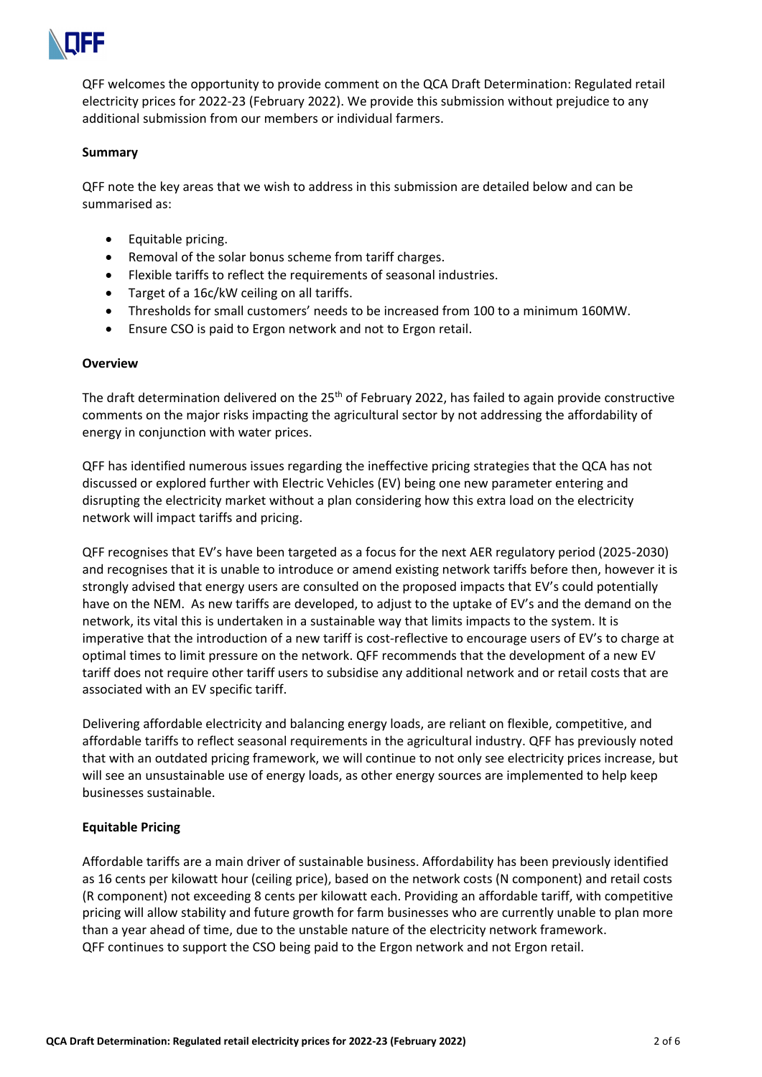

QFF welcomes the opportunity to provide comment on the QCA Draft Determination: Regulated retail electricity prices for 2022-23 (February 2022). We provide this submission without prejudice to any additional submission from our members or individual farmers.

#### **Summary**

QFF note the key areas that we wish to address in this submission are detailed below and can be summarised as:

- Equitable pricing.
- Removal of the solar bonus scheme from tariff charges.
- Flexible tariffs to reflect the requirements of seasonal industries.
- Target of a 16c/kW ceiling on all tariffs.
- Thresholds for small customers' needs to be increased from 100 to a minimum 160MW.
- Ensure CSO is paid to Ergon network and not to Ergon retail.

#### **Overview**

The draft determination delivered on the 25<sup>th</sup> of February 2022, has failed to again provide constructive comments on the major risks impacting the agricultural sector by not addressing the affordability of energy in conjunction with water prices.

QFF has identified numerous issues regarding the ineffective pricing strategies that the QCA has not discussed or explored further with Electric Vehicles (EV) being one new parameter entering and disrupting the electricity market without a plan considering how this extra load on the electricity network will impact tariffs and pricing.

QFF recognises that EV's have been targeted as a focus for the next AER regulatory period (2025-2030) and recognises that it is unable to introduce or amend existing network tariffs before then, however it is strongly advised that energy users are consulted on the proposed impacts that EV's could potentially have on the NEM. As new tariffs are developed, to adjust to the uptake of EV's and the demand on the network, its vital this is undertaken in a sustainable way that limits impacts to the system. It is imperative that the introduction of a new tariff is cost-reflective to encourage users of EV's to charge at optimal times to limit pressure on the network. QFF recommends that the development of a new EV tariff does not require other tariff users to subsidise any additional network and or retail costs that are associated with an EV specific tariff.

Delivering affordable electricity and balancing energy loads, are reliant on flexible, competitive, and affordable tariffs to reflect seasonal requirements in the agricultural industry. QFF has previously noted that with an outdated pricing framework, we will continue to not only see electricity prices increase, but will see an unsustainable use of energy loads, as other energy sources are implemented to help keep businesses sustainable.

## **Equitable Pricing**

Affordable tariffs are a main driver of sustainable business. Affordability has been previously identified as 16 cents per kilowatt hour (ceiling price), based on the network costs (N component) and retail costs (R component) not exceeding 8 cents per kilowatt each. Providing an affordable tariff, with competitive pricing will allow stability and future growth for farm businesses who are currently unable to plan more than a year ahead of time, due to the unstable nature of the electricity network framework. QFF continues to support the CSO being paid to the Ergon network and not Ergon retail.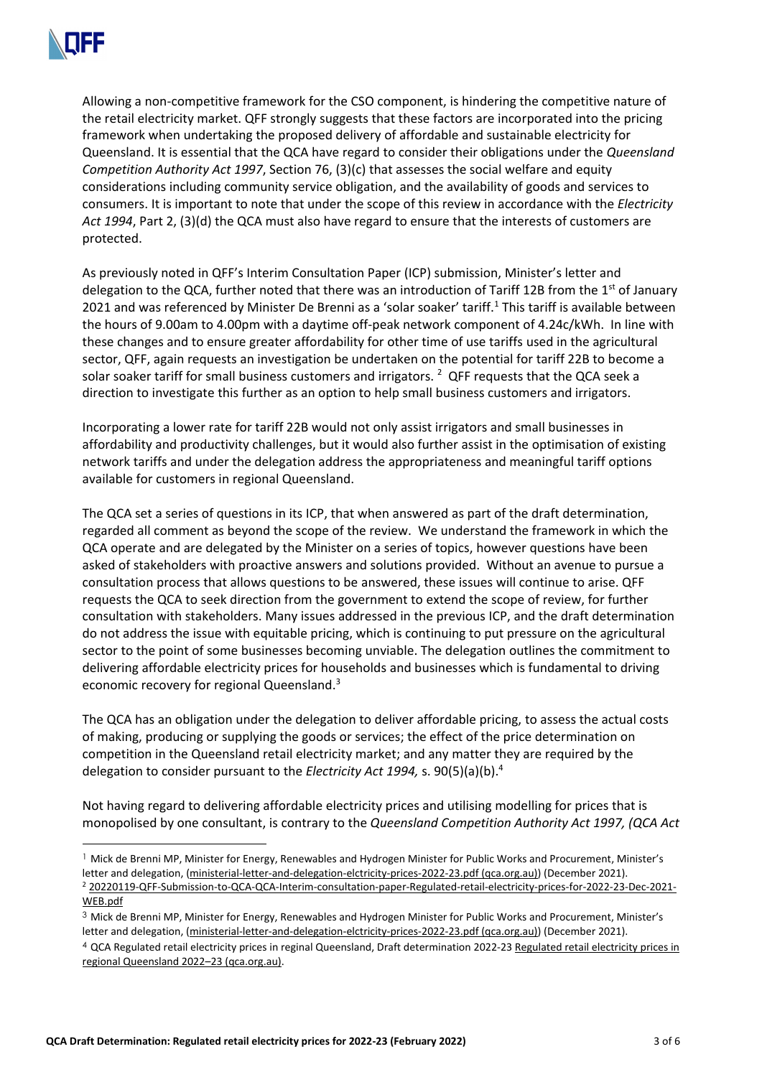

Allowing a non-competitive framework for the CSO component, is hindering the competitive nature of the retail electricity market. QFF strongly suggests that these factors are incorporated into the pricing framework when undertaking the proposed delivery of affordable and sustainable electricity for Queensland. It is essential that the QCA have regard to consider their obligations under the *Queensland Competition Authority Act 1997*, Section 76, (3)(c) that assesses the social welfare and equity considerations including community service obligation, and the availability of goods and services to consumers. It is important to note that under the scope of this review in accordance with the *Electricity Act 1994*, Part 2, (3)(d) the QCA must also have regard to ensure that the interests of customers are protected.

As previously noted in QFF's Interim Consultation Paper (ICP) submission, Minister's letter and delegation to the QCA, further noted that there was an introduction of Tariff 12B from the 1<sup>st</sup> of January 2021 and was referenced by Minister De Brenni as a 'solar soaker' tariff.<sup>1</sup> This tariff is available between the hours of 9.00am to 4.00pm with a daytime off-peak network component of 4.24c/kWh. In line with these changes and to ensure greater affordability for other time of use tariffs used in the agricultural sector, QFF, again requests an investigation be undertaken on the potential for tariff 22B to become a solar soaker tariff for small business customers and irrigators. <sup>2</sup> QFF requests that the QCA seek a direction to investigate this further as an option to help small business customers and irrigators.

Incorporating a lower rate for tariff 22B would not only assist irrigators and small businesses in affordability and productivity challenges, but it would also further assist in the optimisation of existing network tariffs and under the delegation address the appropriateness and meaningful tariff options available for customers in regional Queensland.

The QCA set a series of questions in its ICP, that when answered as part of the draft determination, regarded all comment as beyond the scope of the review. We understand the framework in which the QCA operate and are delegated by the Minister on a series of topics, however questions have been asked of stakeholders with proactive answers and solutions provided. Without an avenue to pursue a consultation process that allows questions to be answered, these issues will continue to arise. QFF requests the QCA to seek direction from the government to extend the scope of review, for further consultation with stakeholders. Many issues addressed in the previous ICP, and the draft determination do not address the issue with equitable pricing, which is continuing to put pressure on the agricultural sector to the point of some businesses becoming unviable. The delegation outlines the commitment to delivering affordable electricity prices for households and businesses which is fundamental to driving economic recovery for regional Queensland. 3

The QCA has an obligation under the delegation to deliver affordable pricing, to assess the actual costs of making, producing or supplying the goods or services; the effect of the price determination on competition in the Queensland retail electricity market; and any matter they are required by the delegation to consider pursuant to the *Electricity Act 1994,* s. 90(5)(a)(b). 4

Not having regard to delivering affordable electricity prices and utilising modelling for prices that is monopolised by one consultant, is contrary to the *Queensland Competition Authority Act 1997, (QCA Act* 

<sup>3</sup> Mick de Brenni MP, Minister for Energy, Renewables and Hydrogen Minister for Public Works and Procurement, Minister's letter and delegation, [\(ministerial-letter-and-delegation-elctricity-prices-2022-23.pdf \(qca.org.au\)\)](https://www.qca.org.au/wp-content/uploads/2021/12/ministerial-letter-and-delegation-elctricity-prices-2022-23.pdf) (December 2021).

<sup>&</sup>lt;sup>1</sup> Mick de Brenni MP, Minister for Energy, Renewables and Hydrogen Minister for Public Works and Procurement, Minister's letter and delegation, [\(ministerial-letter-and-delegation-elctricity-prices-2022-23.pdf \(qca.org.au\)\)](https://www.qca.org.au/wp-content/uploads/2021/12/ministerial-letter-and-delegation-elctricity-prices-2022-23.pdf) (December 2021). <sup>2</sup> [20220119-QFF-Submission-to-QCA-QCA-Interim-consultation-paper-Regulated-retail-electricity-prices-for-2022-23-Dec-2021-](https://www.qff.org.au/wp-content/uploads/2017/04/20220119-QFF-Submission-to-QCA-QCA-Interim-consultation-paper-Regulated-retail-electricity-prices-for-2022-23-Dec-2021-WEB.pdf) [WEB.pdf](https://www.qff.org.au/wp-content/uploads/2017/04/20220119-QFF-Submission-to-QCA-QCA-Interim-consultation-paper-Regulated-retail-electricity-prices-for-2022-23-Dec-2021-WEB.pdf)

<sup>4</sup> QCA Regulated retail electricity prices in reginal Queensland, Draft determination 2022-23 [Regulated retail electricity prices in](https://www.qca.org.au/wp-content/uploads/2022/02/draft-determination_-main-report.pdf)  [regional Queensland 2022](https://www.qca.org.au/wp-content/uploads/2022/02/draft-determination_-main-report.pdf)–23 (qca.org.au).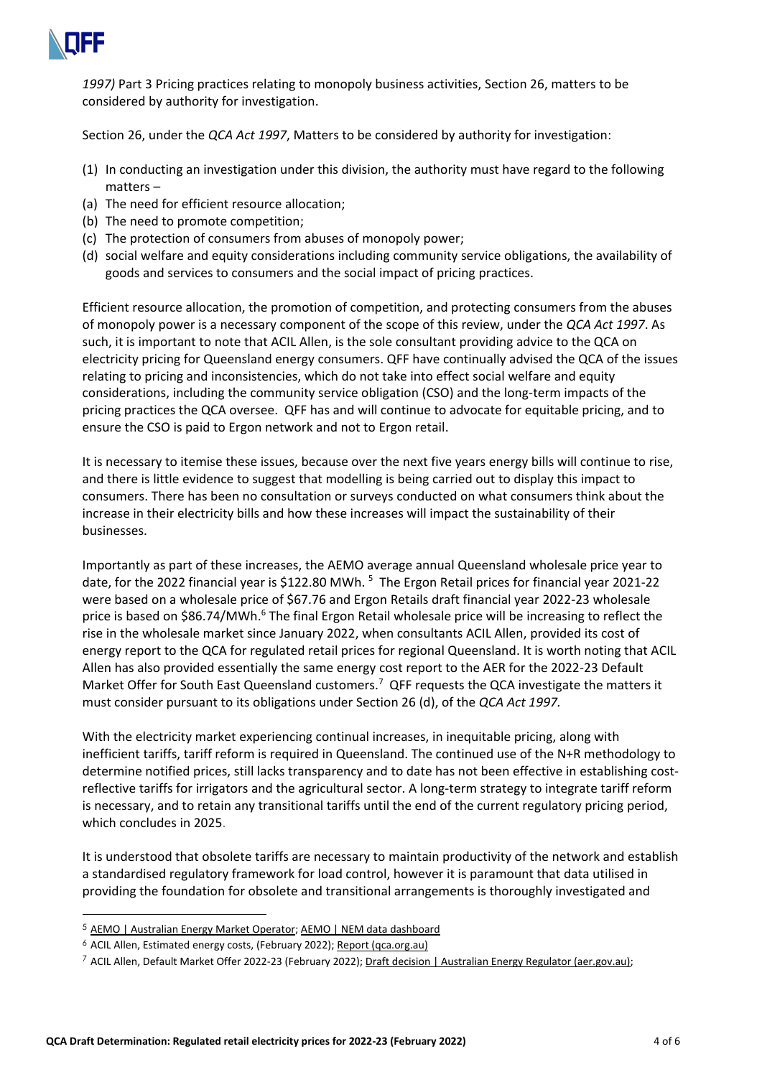

*1997)* Part 3 Pricing practices relating to monopoly business activities, Section 26, matters to be considered by authority for investigation.

Section 26, under the *QCA Act 1997*, Matters to be considered by authority for investigation:

- (1) In conducting an investigation under this division, the authority must have regard to the following matters –
- (a) The need for efficient resource allocation;
- (b) The need to promote competition;
- (c) The protection of consumers from abuses of monopoly power;
- (d) social welfare and equity considerations including community service obligations, the availability of goods and services to consumers and the social impact of pricing practices.

Efficient resource allocation, the promotion of competition, and protecting consumers from the abuses of monopoly power is a necessary component of the scope of this review, under the *QCA Act 1997*. As such, it is important to note that ACIL Allen, is the sole consultant providing advice to the QCA on electricity pricing for Queensland energy consumers. QFF have continually advised the QCA of the issues relating to pricing and inconsistencies, which do not take into effect social welfare and equity considerations, including the community service obligation (CSO) and the long-term impacts of the pricing practices the QCA oversee. QFF has and will continue to advocate for equitable pricing, and to ensure the CSO is paid to Ergon network and not to Ergon retail.

It is necessary to itemise these issues, because over the next five years energy bills will continue to rise, and there is little evidence to suggest that modelling is being carried out to display this impact to consumers. There has been no consultation or surveys conducted on what consumers think about the increase in their electricity bills and how these increases will impact the sustainability of their businesses.

Importantly as part of these increases, the AEMO average annual Queensland wholesale price year to date, for the 2022 financial year is \$122.80 MWh.<sup>5</sup> The Ergon Retail prices for financial year 2021-22 were based on a wholesale price of \$67.76 and Ergon Retails draft financial year 2022-23 wholesale price is based on \$86.74/MWh.<sup>6</sup> The final Ergon Retail wholesale price will be increasing to reflect the rise in the wholesale market since January 2022, when consultants ACIL Allen, provided its cost of energy report to the QCA for regulated retail prices for regional Queensland. It is worth noting that ACIL Allen has also provided essentially the same energy cost report to the AER for the 2022-23 Default Market Offer for South East Queensland customers.<sup>7</sup> QFF requests the QCA investigate the matters it must consider pursuant to its obligations under Section 26 (d), of the *QCA Act 1997.*

With the electricity market experiencing continual increases, in inequitable pricing, along with inefficient tariffs, tariff reform is required in Queensland. The continued use of the N+R methodology to determine notified prices, still lacks transparency and to date has not been effective in establishing costreflective tariffs for irrigators and the agricultural sector. A long-term strategy to integrate tariff reform is necessary, and to retain any transitional tariffs until the end of the current regulatory pricing period, which concludes in 2025.

It is understood that obsolete tariffs are necessary to maintain productivity of the network and establish a standardised regulatory framework for load control, however it is paramount that data utilised in providing the foundation for obsolete and transitional arrangements is thoroughly investigated and

<sup>5</sup> [AEMO | Australian Energy Market Operator;](https://aemo.com.au/) [AEMO | NEM data dashboard](https://aemo.com.au/Energy-systems/Electricity/National-Electricity-Market-NEM/Data-NEM/Data-Dashboard-NEM)

<sup>6</sup> ACIL Allen, Estimated energy costs, (February 2022)[; Report \(qca.org.au\)](https://www.qca.org.au/wp-content/uploads/2022/02/acil-allen-energy-cost-report-feb-2022.pdf)

 $^7$  ACIL Allen, Default Market Offer 2022-23 (February 2022)[; Draft decision | Australian Energy Regulator \(aer.gov.au\);](https://www.aer.gov.au/retail-markets/guidelines-reviews/retail-electricity-prices-review-determination-of-default-market-offer-prices-2022%E2%80%9323/draft-decision)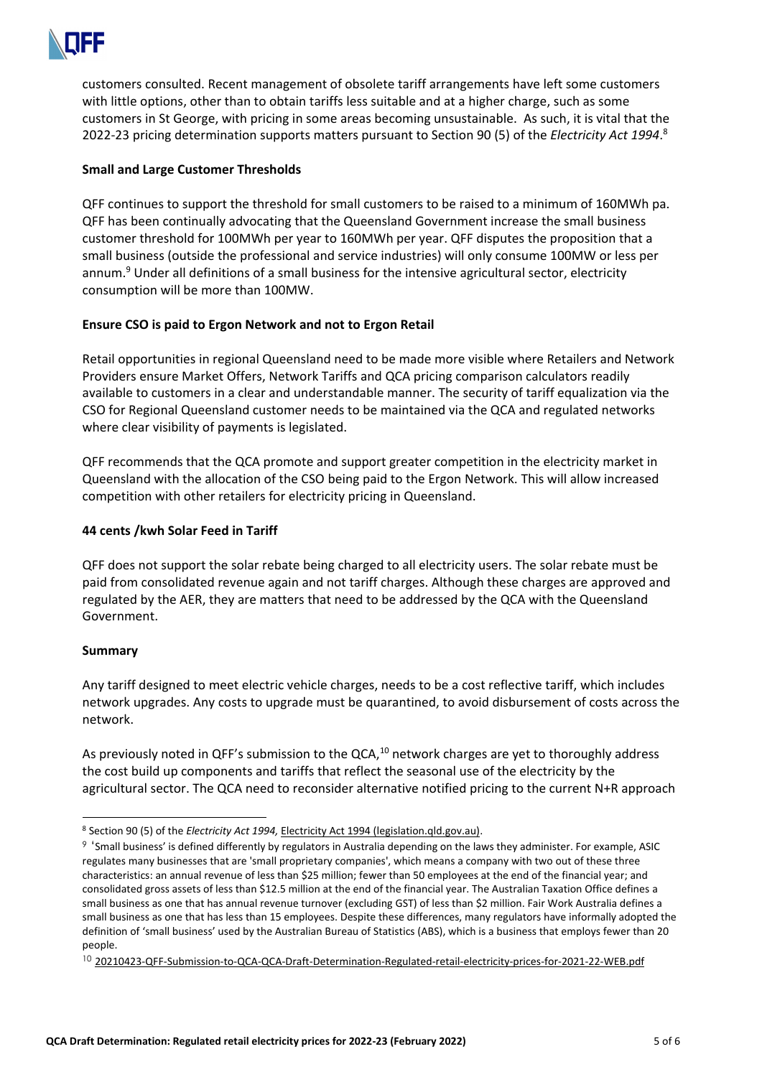

customers consulted. Recent management of obsolete tariff arrangements have left some customers with little options, other than to obtain tariffs less suitable and at a higher charge, such as some customers in St George, with pricing in some areas becoming unsustainable. As such, it is vital that the 2022-23 pricing determination supports matters pursuant to Section 90 (5) of the *Electricity Act 1994*. 8

## **Small and Large Customer Thresholds**

QFF continues to support the threshold for small customers to be raised to a minimum of 160MWh pa. QFF has been continually advocating that the Queensland Government increase the small business customer threshold for 100MWh per year to 160MWh per year. QFF disputes the proposition that a small business (outside the professional and service industries) will only consume 100MW or less per annum.<sup>9</sup> Under all definitions of a small business for the intensive agricultural sector, electricity consumption will be more than 100MW.

## **Ensure CSO is paid to Ergon Network and not to Ergon Retail**

Retail opportunities in regional Queensland need to be made more visible where Retailers and Network Providers ensure Market Offers, Network Tariffs and QCA pricing comparison calculators readily available to customers in a clear and understandable manner. The security of tariff equalization via the CSO for Regional Queensland customer needs to be maintained via the QCA and regulated networks where clear visibility of payments is legislated.

QFF recommends that the QCA promote and support greater competition in the electricity market in Queensland with the allocation of the CSO being paid to the Ergon Network. This will allow increased competition with other retailers for electricity pricing in Queensland.

## **44 cents /kwh Solar Feed in Tariff**

QFF does not support the solar rebate being charged to all electricity users. The solar rebate must be paid from consolidated revenue again and not tariff charges. Although these charges are approved and regulated by the AER, they are matters that need to be addressed by the QCA with the Queensland Government.

## **Summary**

Any tariff designed to meet electric vehicle charges, needs to be a cost reflective tariff, which includes network upgrades. Any costs to upgrade must be quarantined, to avoid disbursement of costs across the network.

As previously noted in QFF's submission to the QCA,<sup>10</sup> network charges are yet to thoroughly address the cost build up components and tariffs that reflect the seasonal use of the electricity by the agricultural sector. The QCA need to reconsider alternative notified pricing to the current N+R approach

<sup>8</sup> Section 90 (5) of the *Electricity Act 1994,* [Electricity Act 1994 \(legislation.qld.gov.au\).](https://www.legislation.qld.gov.au/view/pdf/inforce/current/act-1994-064)

<sup>9</sup> 'Small business' is defined differently by regulators in Australia depending on the laws they administer. For example, ASIC regulates many businesses that are 'small proprietary companies', which means a company with two out of these three characteristics: an annual revenue of less than \$25 million; fewer than 50 employees at the end of the financial year; and consolidated gross assets of less than \$12.5 million at the end of the financial year. The Australian Taxation Office defines a small business as one that has annual revenue turnover (excluding GST) of less than \$2 million. Fair Work Australia defines a small business as one that has less than 15 employees. Despite these differences, many regulators have informally adopted the definition of 'small business' used by the Australian Bureau of Statistics (ABS), which is a business that employs fewer than 20 people.

<sup>10</sup> [20210423-QFF-Submission-to-QCA-QCA-Draft-Determination-Regulated-retail-electricity-prices-for-2021-22-WEB.pdf](https://www.qff.org.au/wp-content/uploads/2017/04/20210423-QFF-Submission-to-QCA-QCA-Draft-Determination-Regulated-retail-electricity-prices-for-2021-22-WEB.pdf)